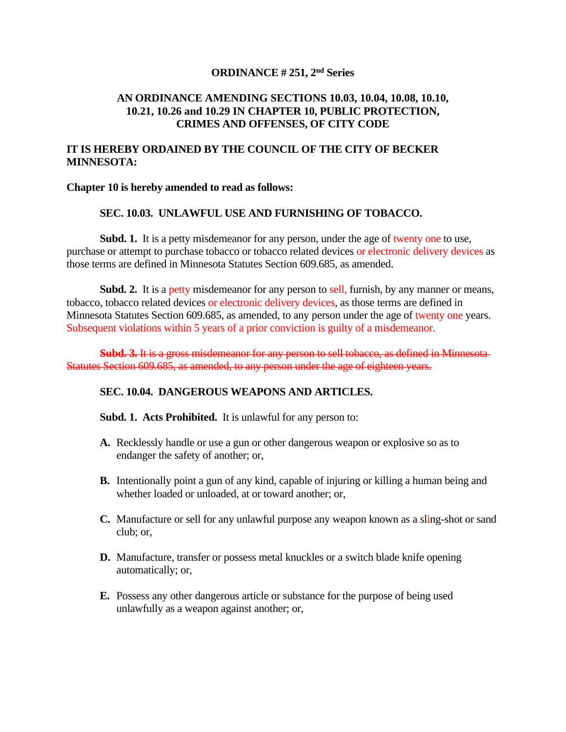# **ORDINANCE # 251, 2 nd Series**

#### **AN ORDINANCE AMENDING SECTIONS 10.03, 10.04, 10.08, 10.10, 10.21, 10.26 and 10.29 IN CHAPTER 10, PUBLIC PROTECTION, CRIMES AND OFFENSES, OF CITY CODE**

# **IT IS HEREBY ORDAINED BY THE COUNCIL OF THE CITY OF BECKER MINNESOTA:**

#### **Chapter 10 is hereby amended to read as follows:**

### **SEC. 10.03. UNLAWFUL USE AND FURNISHING OF TOBACCO.**

**Subd. 1.** It is a petty misdemeanor for any person, under the age of twenty one to use, purchase or attempt to purchase tobacco or tobacco related devices or electronic delivery devices as those terms are defined in Minnesota Statutes Section 609.685, as amended.

**Subd.** 2. It is a petty misdemeanor for any person to sell, furnish, by any manner or means, tobacco, tobacco related devices or electronic delivery devices, as those terms are defined in Minnesota Statutes Section 609.685, as amended, to any person under the age of twenty one years. Subsequent violations within 5 years of a prior conviction is guilty of a misdemeanor.

**Subd. 3.** It is a gross misdemeanor for any person to sell tobacco, as defined in Minnesota Statutes Section 609.685, as amended, to any person under the age of eighteen years.

#### **SEC. 10.04. DANGEROUS WEAPONS AND ARTICLES.**

**Subd. 1. Acts Prohibited.** It is unlawful for any person to:

- **A.** Recklessly handle or use a gun or other dangerous weapon or explosive so as to endanger the safety of another; or,
- **B.** Intentionally point a gun of any kind, capable of injuring or killing a human being and whether loaded or unloaded, at or toward another; or,
- **C.** Manufacture or sell for any unlawful purpose any weapon known as a sling-shot or sand club; or,
- **D.** Manufacture, transfer or possess metal knuckles or a switch blade knife opening automatically; or,
- **E.** Possess any other dangerous article or substance for the purpose of being used unlawfully as a weapon against another; or,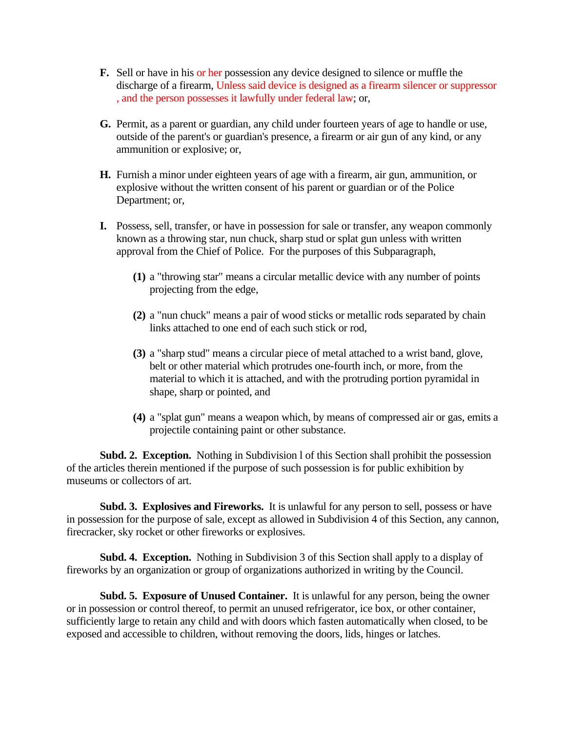- **F.** Sell or have in his or her possession any device designed to silence or muffle the discharge of a firearm, Unless said device is designed as a firearm silencer or suppressor , and the person possesses it lawfully under federal law; or,
- **G.** Permit, as a parent or guardian, any child under fourteen years of age to handle or use, outside of the parent's or guardian's presence, a firearm or air gun of any kind, or any ammunition or explosive; or,
- **H.** Furnish a minor under eighteen years of age with a firearm, air gun, ammunition, or explosive without the written consent of his parent or guardian or of the Police Department; or,
- **I.** Possess, sell, transfer, or have in possession for sale or transfer, any weapon commonly known as a throwing star, nun chuck, sharp stud or splat gun unless with written approval from the Chief of Police. For the purposes of this Subparagraph,
	- **(1)** a "throwing star" means a circular metallic device with any number of points projecting from the edge,
	- **(2)** a "nun chuck" means a pair of wood sticks or metallic rods separated by chain links attached to one end of each such stick or rod,
	- **(3)** a "sharp stud" means a circular piece of metal attached to a wrist band, glove, belt or other material which protrudes one-fourth inch, or more, from the material to which it is attached, and with the protruding portion pyramidal in shape, sharp or pointed, and
	- **(4)** a "splat gun" means a weapon which, by means of compressed air or gas, emits a projectile containing paint or other substance.

**Subd. 2. Exception.** Nothing in Subdivision l of this Section shall prohibit the possession of the articles therein mentioned if the purpose of such possession is for public exhibition by museums or collectors of art.

**Subd. 3. Explosives and Fireworks.** It is unlawful for any person to sell, possess or have in possession for the purpose of sale, except as allowed in Subdivision 4 of this Section, any cannon, firecracker, sky rocket or other fireworks or explosives.

**Subd. 4. Exception.** Nothing in Subdivision 3 of this Section shall apply to a display of fireworks by an organization or group of organizations authorized in writing by the Council.

**Subd. 5. Exposure of Unused Container.** It is unlawful for any person, being the owner or in possession or control thereof, to permit an unused refrigerator, ice box, or other container, sufficiently large to retain any child and with doors which fasten automatically when closed, to be exposed and accessible to children, without removing the doors, lids, hinges or latches.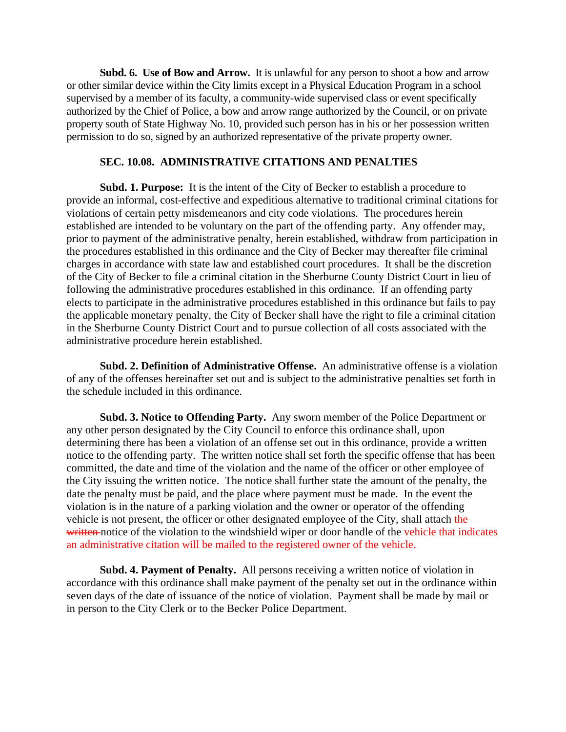**Subd. 6. Use of Bow and Arrow.** It is unlawful for any person to shoot a bow and arrow or other similar device within the City limits except in a Physical Education Program in a school supervised by a member of its faculty, a community-wide supervised class or event specifically authorized by the Chief of Police, a bow and arrow range authorized by the Council, or on private property south of State Highway No. 10, provided such person has in his or her possession written permission to do so, signed by an authorized representative of the private property owner.

#### **SEC. 10.08. ADMINISTRATIVE CITATIONS AND PENALTIES**

**Subd. 1. Purpose:** It is the intent of the City of Becker to establish a procedure to provide an informal, cost-effective and expeditious alternative to traditional criminal citations for violations of certain petty misdemeanors and city code violations. The procedures herein established are intended to be voluntary on the part of the offending party. Any offender may, prior to payment of the administrative penalty, herein established, withdraw from participation in the procedures established in this ordinance and the City of Becker may thereafter file criminal charges in accordance with state law and established court procedures. It shall be the discretion of the City of Becker to file a criminal citation in the Sherburne County District Court in lieu of following the administrative procedures established in this ordinance. If an offending party elects to participate in the administrative procedures established in this ordinance but fails to pay the applicable monetary penalty, the City of Becker shall have the right to file a criminal citation in the Sherburne County District Court and to pursue collection of all costs associated with the administrative procedure herein established.

**Subd. 2. Definition of Administrative Offense.** An administrative offense is a violation of any of the offenses hereinafter set out and is subject to the administrative penalties set forth in the schedule included in this ordinance.

**Subd. 3. Notice to Offending Party.** Any sworn member of the Police Department or any other person designated by the City Council to enforce this ordinance shall, upon determining there has been a violation of an offense set out in this ordinance, provide a written notice to the offending party. The written notice shall set forth the specific offense that has been committed, the date and time of the violation and the name of the officer or other employee of the City issuing the written notice. The notice shall further state the amount of the penalty, the date the penalty must be paid, and the place where payment must be made. In the event the violation is in the nature of a parking violation and the owner or operator of the offending vehicle is not present, the officer or other designated employee of the City, shall attach the written notice of the violation to the windshield wiper or door handle of the vehicle that indicates an administrative citation will be mailed to the registered owner of the vehicle.

**Subd. 4. Payment of Penalty.** All persons receiving a written notice of violation in accordance with this ordinance shall make payment of the penalty set out in the ordinance within seven days of the date of issuance of the notice of violation. Payment shall be made by mail or in person to the City Clerk or to the Becker Police Department.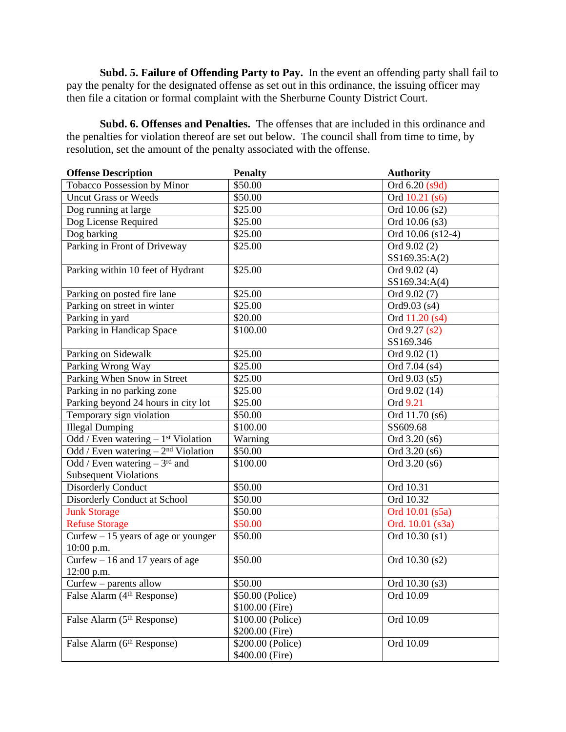**Subd. 5. Failure of Offending Party to Pay.** In the event an offending party shall fail to pay the penalty for the designated offense as set out in this ordinance, the issuing officer may then file a citation or formal complaint with the Sherburne County District Court.

**Subd. 6. Offenses and Penalties.** The offenses that are included in this ordinance and the penalties for violation thereof are set out below. The council shall from time to time, by resolution, set the amount of the penalty associated with the offense.

| <b>Offense Description</b>                       | <b>Penalty</b>    | <b>Authority</b>  |
|--------------------------------------------------|-------------------|-------------------|
| Tobacco Possession by Minor                      | \$50.00           | Ord 6.20 (s9d)    |
| <b>Uncut Grass or Weeds</b>                      | \$50.00           | Ord 10.21 (s6)    |
| Dog running at large                             | \$25.00           | Ord 10.06 (s2)    |
| Dog License Required                             | \$25.00           | Ord 10.06 (s3)    |
| Dog barking                                      | \$25.00           | Ord 10.06 (s12-4) |
| Parking in Front of Driveway                     | \$25.00           | Ord 9.02 (2)      |
|                                                  |                   | SS169.35:A(2)     |
| Parking within 10 feet of Hydrant                | \$25.00           | Ord 9.02 (4)      |
|                                                  |                   | SS169.34:A(4)     |
| Parking on posted fire lane                      | \$25.00           | Ord 9.02 (7)      |
| Parking on street in winter                      | \$25.00           | Ord9.03 (s4)      |
| Parking in yard                                  | \$20.00           | Ord 11.20 (s4)    |
| Parking in Handicap Space                        | \$100.00          | Ord 9.27 (s2)     |
|                                                  |                   | SS169.346         |
| Parking on Sidewalk                              | \$25.00           | Ord 9.02 (1)      |
| Parking Wrong Way                                | \$25.00           | Ord 7.04 (s4)     |
| Parking When Snow in Street                      | \$25.00           | Ord 9.03 (s5)     |
| Parking in no parking zone                       | \$25.00           | Ord 9.02 (14)     |
| Parking beyond 24 hours in city lot              | \$25.00           | Ord 9.21          |
| Temporary sign violation                         | \$50.00           | Ord 11.70 (s6)    |
| <b>Illegal Dumping</b>                           | \$100.00          | SS609.68          |
| Odd / Even watering $-1$ <sup>st</sup> Violation | Warning           | Ord 3.20 (s6)     |
| Odd / Even watering $-2nd$ Violation             | \$50.00           | Ord 3.20 (s6)     |
| Odd / Even watering $-3rd$ and                   | \$100.00          | Ord 3.20 (s6)     |
| <b>Subsequent Violations</b>                     |                   |                   |
| <b>Disorderly Conduct</b>                        | \$50.00           | Ord 10.31         |
| Disorderly Conduct at School                     | \$50.00           | Ord 10.32         |
| <b>Junk Storage</b>                              | \$50.00           | Ord 10.01 (s5a)   |
| <b>Refuse Storage</b>                            | \$50.00           | Ord. 10.01 (s3a)  |
| Curfew $-15$ years of age or younger             | \$50.00           | Ord 10.30 (s1)    |
| 10:00 p.m.                                       |                   |                   |
| Curfew $-16$ and 17 years of age                 | \$50.00           | Ord 10.30 (s2)    |
| $12:00$ p.m.                                     |                   |                   |
| Curfew – parents allow                           | \$50.00           | Ord 10.30 (s3)    |
| False Alarm (4 <sup>th</sup> Response)           | \$50.00 (Police)  | Ord 10.09         |
|                                                  | \$100.00 (Fire)   |                   |
| False Alarm (5 <sup>th</sup> Response)           | \$100.00 (Police) | Ord 10.09         |
|                                                  | \$200.00 (Fire)   |                   |
| False Alarm (6th Response)                       | \$200.00 (Police) | Ord 10.09         |
|                                                  | \$400.00 (Fire)   |                   |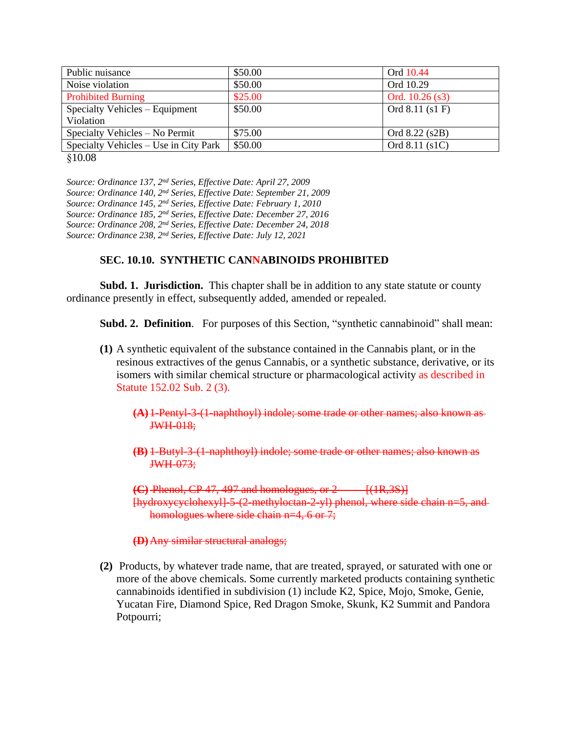| Public nuisance                       | \$50.00 | Ord 10.44         |
|---------------------------------------|---------|-------------------|
| Noise violation                       | \$50.00 | Ord 10.29         |
| <b>Prohibited Burning</b>             | \$25.00 | Ord. $10.26$ (s3) |
| Specialty Vehicles – Equipment        | \$50.00 | Ord 8.11 (s1 F)   |
| Violation                             |         |                   |
| Specialty Vehicles – No Permit        | \$75.00 | Ord 8.22 (s2B)    |
| Specialty Vehicles – Use in City Park | \$50.00 | Ord 8.11 (s1C)    |

§10.08

*Source: Ordinance 137, 2nd Series, Effective Date: April 27, 2009 Source: Ordinance 140, 2nd Series, Effective Date: September 21, 2009 Source: Ordinance 145, 2nd Series, Effective Date: February 1, 2010 Source: Ordinance 185, 2nd Series, Effective Date: December 27, 2016 Source: Ordinance 208, 2nd Series, Effective Date: December 24, 2018 Source: Ordinance 238, 2nd Series, Effective Date: July 12, 2021*

## **SEC. 10.10. SYNTHETIC CANNABINOIDS PROHIBITED**

**Subd. 1. Jurisdiction.** This chapter shall be in addition to any state statute or county ordinance presently in effect, subsequently added, amended or repealed.

**Subd. 2. Definition.** For purposes of this Section, "synthetic cannabinoid" shall mean:

- **(1)** A synthetic equivalent of the substance contained in the Cannabis plant, or in the resinous extractives of the genus Cannabis, or a synthetic substance, derivative, or its isomers with similar chemical structure or pharmacological activity as described in Statute 152.02 Sub. 2 (3).
	- **(A)**1-Pentyl-3-(1-naphthoyl) indole; some trade or other names; also known as JWH-018;
	- **(B)** 1-Butyl-3-(1-naphthoyl) indole; some trade or other names; also known as JWH-073;

 $(C)$  Phenol,  $CP$  47, 497 and homologues, or  $2 - \frac{(1R,3S)}{S}$ [hydroxycyclohexyl]-5-(2-methyloctan-2-yl) phenol, where side chain n=5, and homologues where side chain n=4, 6 or 7;

**(D)**Any similar structural analogs;

**(2)** Products, by whatever trade name, that are treated, sprayed, or saturated with one or more of the above chemicals. Some currently marketed products containing synthetic cannabinoids identified in subdivision (1) include K2, Spice, Mojo, Smoke, Genie, Yucatan Fire, Diamond Spice, Red Dragon Smoke, Skunk, K2 Summit and Pandora Potpourri;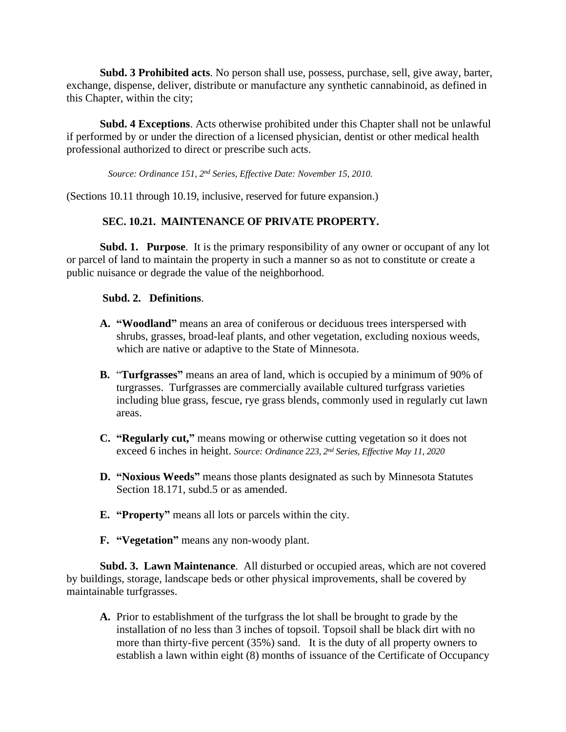**Subd. 3 Prohibited acts**. No person shall use, possess, purchase, sell, give away, barter, exchange, dispense, deliver, distribute or manufacture any synthetic cannabinoid, as defined in this Chapter, within the city;

**Subd. 4 Exceptions**. Acts otherwise prohibited under this Chapter shall not be unlawful if performed by or under the direction of a licensed physician, dentist or other medical health professional authorized to direct or prescribe such acts.

*Source: Ordinance 151, 2nd Series, Effective Date: November 15, 2010.*

(Sections 10.11 through 10.19, inclusive, reserved for future expansion.)

# **SEC. 10.21. MAINTENANCE OF PRIVATE PROPERTY.**

**Subd. 1. Purpose**. It is the primary responsibility of any owner or occupant of any lot or parcel of land to maintain the property in such a manner so as not to constitute or create a public nuisance or degrade the value of the neighborhood.

## **Subd. 2. Definitions**.

- **A. "Woodland"** means an area of coniferous or deciduous trees interspersed with shrubs, grasses, broad-leaf plants, and other vegetation, excluding noxious weeds, which are native or adaptive to the State of Minnesota.
- **B.** "**Turfgrasses"** means an area of land, which is occupied by a minimum of 90% of turgrasses. Turfgrasses are commercially available cultured turfgrass varieties including blue grass, fescue, rye grass blends, commonly used in regularly cut lawn areas.
- **C. "Regularly cut,"** means mowing or otherwise cutting vegetation so it does not exceed 6 inches in height. *Source: Ordinance 223, 2 nd Series, Effective May 11, 2020*
- **D. "Noxious Weeds"** means those plants designated as such by Minnesota Statutes Section 18.171, subd.5 or as amended.
- **E. "Property"** means all lots or parcels within the city.
- **F. "Vegetation"** means any non-woody plant.

**Subd. 3. Lawn Maintenance**. All disturbed or occupied areas, which are not covered by buildings, storage, landscape beds or other physical improvements, shall be covered by maintainable turfgrasses.

**A.** Prior to establishment of the turfgrass the lot shall be brought to grade by the installation of no less than 3 inches of topsoil. Topsoil shall be black dirt with no more than thirty-five percent (35%) sand. It is the duty of all property owners to establish a lawn within eight (8) months of issuance of the Certificate of Occupancy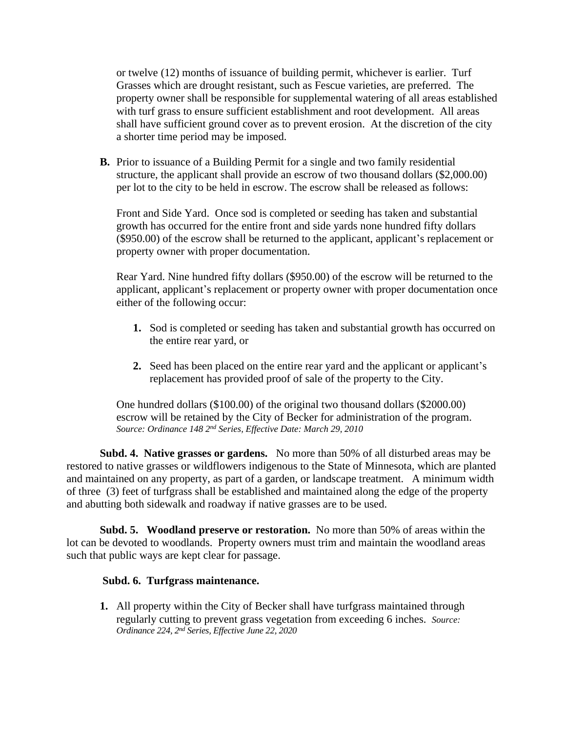or twelve (12) months of issuance of building permit, whichever is earlier. Turf Grasses which are drought resistant, such as Fescue varieties, are preferred. The property owner shall be responsible for supplemental watering of all areas established with turf grass to ensure sufficient establishment and root development. All areas shall have sufficient ground cover as to prevent erosion. At the discretion of the city a shorter time period may be imposed.

**B.** Prior to issuance of a Building Permit for a single and two family residential structure, the applicant shall provide an escrow of two thousand dollars (\$2,000.00) per lot to the city to be held in escrow. The escrow shall be released as follows:

Front and Side Yard. Once sod is completed or seeding has taken and substantial growth has occurred for the entire front and side yards none hundred fifty dollars (\$950.00) of the escrow shall be returned to the applicant, applicant's replacement or property owner with proper documentation.

Rear Yard. Nine hundred fifty dollars (\$950.00) of the escrow will be returned to the applicant, applicant's replacement or property owner with proper documentation once either of the following occur:

- **1.** Sod is completed or seeding has taken and substantial growth has occurred on the entire rear yard, or
- **2.** Seed has been placed on the entire rear yard and the applicant or applicant's replacement has provided proof of sale of the property to the City.

One hundred dollars (\$100.00) of the original two thousand dollars (\$2000.00) escrow will be retained by the City of Becker for administration of the program. *Source: Ordinance 148 2nd Series, Effective Date: March 29, 2010*

**Subd. 4. Native grasses or gardens.** No more than 50% of all disturbed areas may be restored to native grasses or wildflowers indigenous to the State of Minnesota, which are planted and maintained on any property, as part of a garden, or landscape treatment. A minimum width of three (3) feet of turfgrass shall be established and maintained along the edge of the property and abutting both sidewalk and roadway if native grasses are to be used.

**Subd. 5. Woodland preserve or restoration.** No more than 50% of areas within the lot can be devoted to woodlands. Property owners must trim and maintain the woodland areas such that public ways are kept clear for passage.

## **Subd. 6. Turfgrass maintenance.**

**1.** All property within the City of Becker shall have turfgrass maintained through regularly cutting to prevent grass vegetation from exceeding 6 inches. *Source: Ordinance 224, 2 nd Series, Effective June 22, 2020*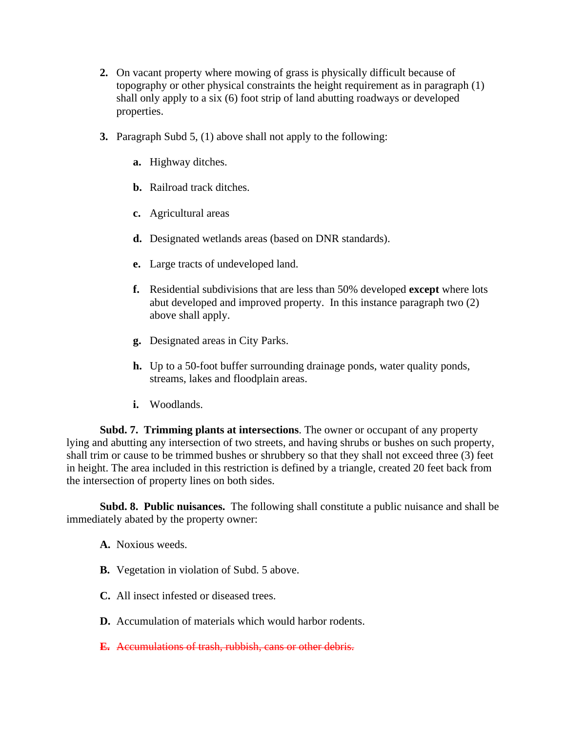- **2.** On vacant property where mowing of grass is physically difficult because of topography or other physical constraints the height requirement as in paragraph (1) shall only apply to a six (6) foot strip of land abutting roadways or developed properties.
- **3.** Paragraph Subd 5, (1) above shall not apply to the following:
	- **a.** Highway ditches.
	- **b.** Railroad track ditches.
	- **c.** Agricultural areas
	- **d.** Designated wetlands areas (based on DNR standards).
	- **e.** Large tracts of undeveloped land.
	- **f.** Residential subdivisions that are less than 50% developed **except** where lots abut developed and improved property. In this instance paragraph two (2) above shall apply.
	- **g.** Designated areas in City Parks.
	- **h.** Up to a 50-foot buffer surrounding drainage ponds, water quality ponds, streams, lakes and floodplain areas.
	- **i.** Woodlands.

 **Subd. 7. Trimming plants at intersections**. The owner or occupant of any property lying and abutting any intersection of two streets, and having shrubs or bushes on such property, shall trim or cause to be trimmed bushes or shrubbery so that they shall not exceed three (3) feet in height. The area included in this restriction is defined by a triangle, created 20 feet back from the intersection of property lines on both sides.

 **Subd. 8. Public nuisances.** The following shall constitute a public nuisance and shall be immediately abated by the property owner:

- **A.** Noxious weeds.
- **B.** Vegetation in violation of Subd. 5 above.
- **C.** All insect infested or diseased trees.
- **D.** Accumulation of materials which would harbor rodents.
- **E.** Accumulations of trash, rubbish, cans or other debris.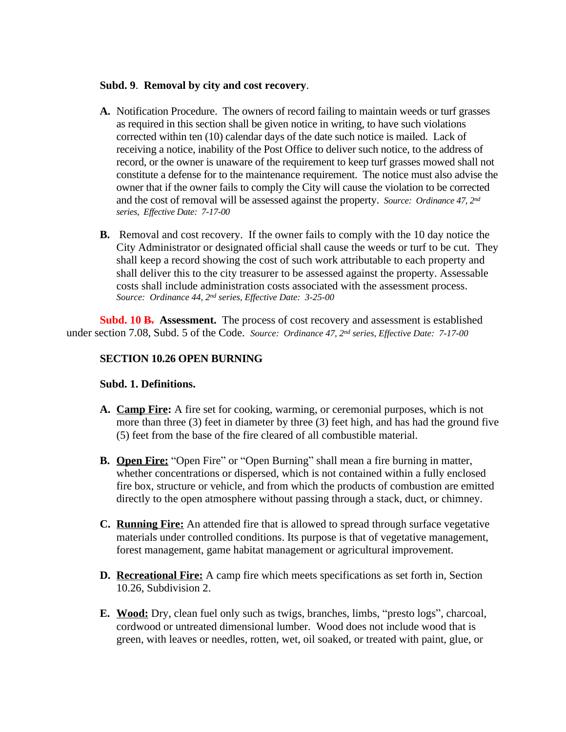#### **Subd. 9**. **Removal by city and cost recovery**.

- **A.** Notification Procedure. The owners of record failing to maintain weeds or turf grasses as required in this section shall be given notice in writing, to have such violations corrected within ten (10) calendar days of the date such notice is mailed. Lack of receiving a notice, inability of the Post Office to deliver such notice, to the address of record, or the owner is unaware of the requirement to keep turf grasses mowed shall not constitute a defense for to the maintenance requirement. The notice must also advise the owner that if the owner fails to comply the City will cause the violation to be corrected and the cost of removal will be assessed against the property. *Source: Ordinance* 47, 2<sup>nd</sup> *series, Effective Date: 7-17-00*
- **B.** Removal and cost recovery. If the owner fails to comply with the 10 day notice the City Administrator or designated official shall cause the weeds or turf to be cut. They shall keep a record showing the cost of such work attributable to each property and shall deliver this to the city treasurer to be assessed against the property. Assessable costs shall include administration costs associated with the assessment process. *Source: Ordinance 44, 2nd series, Effective Date: 3-25-00*

**Subd. 10 B. Assessment.** The process of cost recovery and assessment is established under section 7.08, Subd. 5 of the Code. *Source: Ordinance 47, 2nd series, Effective Date: 7-17-00*

# **SECTION 10.26 OPEN BURNING**

## **Subd. 1. Definitions.**

- **A. Camp Fire:** A fire set for cooking, warming, or ceremonial purposes, which is not more than three (3) feet in diameter by three (3) feet high, and has had the ground five (5) feet from the base of the fire cleared of all combustible material.
- **B. Open Fire:** "Open Fire" or "Open Burning" shall mean a fire burning in matter, whether concentrations or dispersed, which is not contained within a fully enclosed fire box, structure or vehicle, and from which the products of combustion are emitted directly to the open atmosphere without passing through a stack, duct, or chimney.
- **C. Running Fire:** An attended fire that is allowed to spread through surface vegetative materials under controlled conditions. Its purpose is that of vegetative management, forest management, game habitat management or agricultural improvement.
- **D. Recreational Fire:** A camp fire which meets specifications as set forth in, Section 10.26, Subdivision 2.
- **E. Wood:** Dry, clean fuel only such as twigs, branches, limbs, "presto logs", charcoal, cordwood or untreated dimensional lumber. Wood does not include wood that is green, with leaves or needles, rotten, wet, oil soaked, or treated with paint, glue, or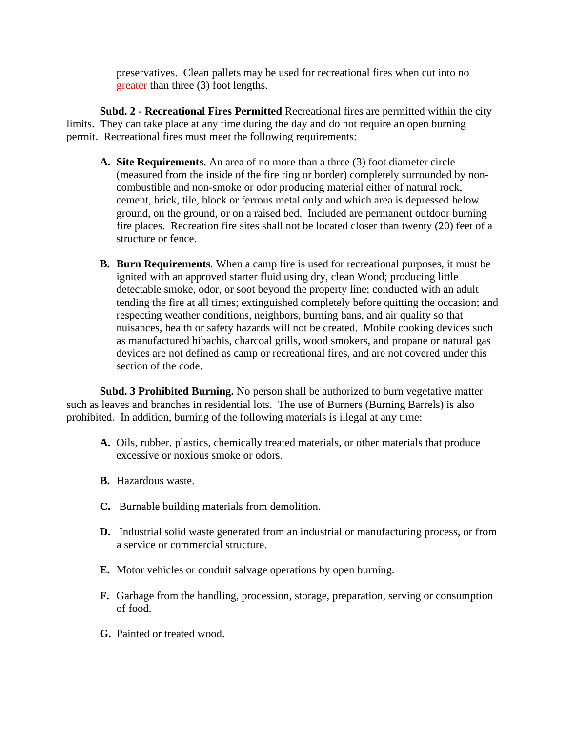preservatives. Clean pallets may be used for recreational fires when cut into no greater than three (3) foot lengths.

**Subd. 2 - Recreational Fires Permitted** Recreational fires are permitted within the city limits. They can take place at any time during the day and do not require an open burning permit. Recreational fires must meet the following requirements:

- **A. Site Requirements**. An area of no more than a three (3) foot diameter circle (measured from the inside of the fire ring or border) completely surrounded by noncombustible and non-smoke or odor producing material either of natural rock, cement, brick, tile, block or ferrous metal only and which area is depressed below ground, on the ground, or on a raised bed. Included are permanent outdoor burning fire places. Recreation fire sites shall not be located closer than twenty (20) feet of a structure or fence.
- **B. Burn Requirements**. When a camp fire is used for recreational purposes, it must be ignited with an approved starter fluid using dry, clean Wood; producing little detectable smoke, odor, or soot beyond the property line; conducted with an adult tending the fire at all times; extinguished completely before quitting the occasion; and respecting weather conditions, neighbors, burning bans, and air quality so that nuisances, health or safety hazards will not be created. Mobile cooking devices such as manufactured hibachis, charcoal grills, wood smokers, and propane or natural gas devices are not defined as camp or recreational fires, and are not covered under this section of the code.

**Subd. 3 Prohibited Burning.** No person shall be authorized to burn vegetative matter such as leaves and branches in residential lots. The use of Burners (Burning Barrels) is also prohibited. In addition, burning of the following materials is illegal at any time:

- **A.** Oils, rubber, plastics, chemically treated materials, or other materials that produce excessive or noxious smoke or odors.
- **B.** Hazardous waste.
- **C.** Burnable building materials from demolition.
- **D.** Industrial solid waste generated from an industrial or manufacturing process, or from a service or commercial structure.
- **E.** Motor vehicles or conduit salvage operations by open burning.
- **F.** Garbage from the handling, procession, storage, preparation, serving or consumption of food.
- **G.** Painted or treated wood.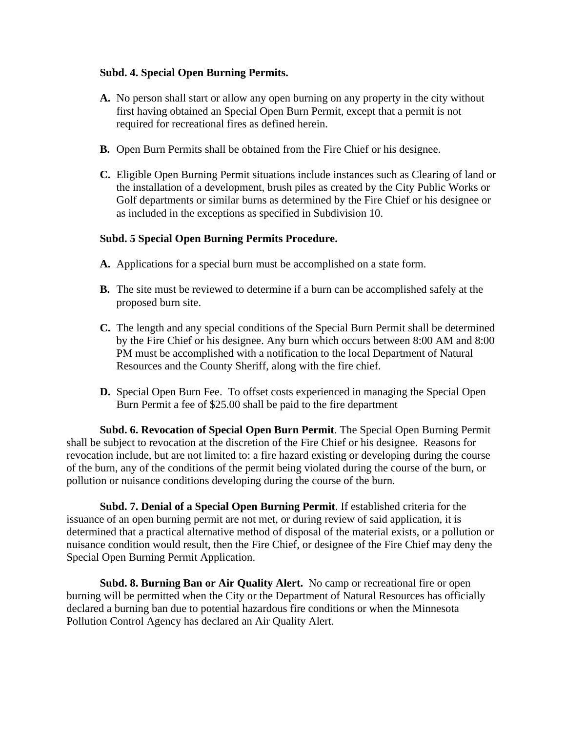# **Subd. 4. Special Open Burning Permits.**

- **A.** No person shall start or allow any open burning on any property in the city without first having obtained an Special Open Burn Permit, except that a permit is not required for recreational fires as defined herein.
- **B.** Open Burn Permits shall be obtained from the Fire Chief or his designee.
- **C.** Eligible Open Burning Permit situations include instances such as Clearing of land or the installation of a development, brush piles as created by the City Public Works or Golf departments or similar burns as determined by the Fire Chief or his designee or as included in the exceptions as specified in Subdivision 10.

# **Subd. 5 Special Open Burning Permits Procedure.**

- **A.** Applications for a special burn must be accomplished on a state form.
- **B.** The site must be reviewed to determine if a burn can be accomplished safely at the proposed burn site.
- **C.** The length and any special conditions of the Special Burn Permit shall be determined by the Fire Chief or his designee. Any burn which occurs between 8:00 AM and 8:00 PM must be accomplished with a notification to the local Department of Natural Resources and the County Sheriff, along with the fire chief.
- **D.** Special Open Burn Fee. To offset costs experienced in managing the Special Open Burn Permit a fee of \$25.00 shall be paid to the fire department

**Subd. 6. Revocation of Special Open Burn Permit**. The Special Open Burning Permit shall be subject to revocation at the discretion of the Fire Chief or his designee. Reasons for revocation include, but are not limited to: a fire hazard existing or developing during the course of the burn, any of the conditions of the permit being violated during the course of the burn, or pollution or nuisance conditions developing during the course of the burn.

**Subd. 7. Denial of a Special Open Burning Permit**. If established criteria for the issuance of an open burning permit are not met, or during review of said application, it is determined that a practical alternative method of disposal of the material exists, or a pollution or nuisance condition would result, then the Fire Chief, or designee of the Fire Chief may deny the Special Open Burning Permit Application.

**Subd. 8. Burning Ban or Air Quality Alert.** No camp or recreational fire or open burning will be permitted when the City or the Department of Natural Resources has officially declared a burning ban due to potential hazardous fire conditions or when the Minnesota Pollution Control Agency has declared an Air Quality Alert.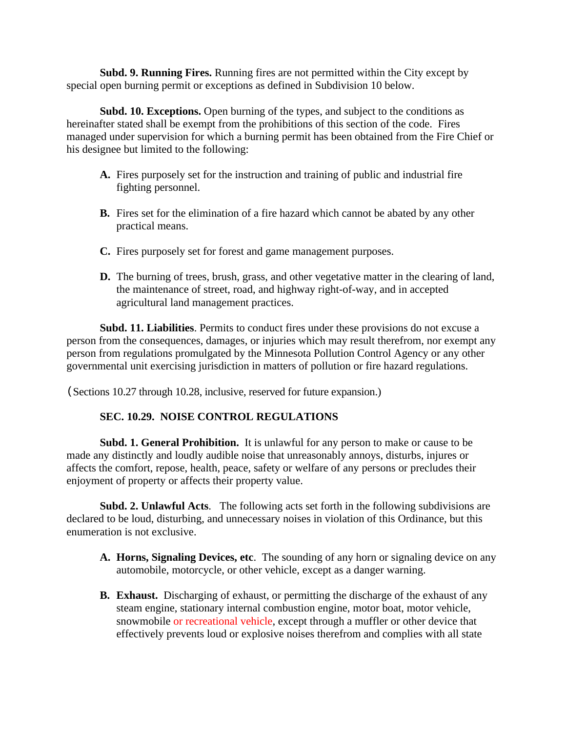**Subd. 9. Running Fires.** Running fires are not permitted within the City except by special open burning permit or exceptions as defined in Subdivision 10 below.

**Subd. 10. Exceptions.** Open burning of the types, and subject to the conditions as hereinafter stated shall be exempt from the prohibitions of this section of the code. Fires managed under supervision for which a burning permit has been obtained from the Fire Chief or his designee but limited to the following:

- **A.** Fires purposely set for the instruction and training of public and industrial fire fighting personnel.
- **B.** Fires set for the elimination of a fire hazard which cannot be abated by any other practical means.
- **C.** Fires purposely set for forest and game management purposes.
- **D.** The burning of trees, brush, grass, and other vegetative matter in the clearing of land, the maintenance of street, road, and highway right-of-way, and in accepted agricultural land management practices.

**Subd. 11. Liabilities**. Permits to conduct fires under these provisions do not excuse a person from the consequences, damages, or injuries which may result therefrom, nor exempt any person from regulations promulgated by the Minnesota Pollution Control Agency or any other governmental unit exercising jurisdiction in matters of pollution or fire hazard regulations.

(Sections 10.27 through 10.28, inclusive, reserved for future expansion.)

# **SEC. 10.29. NOISE CONTROL REGULATIONS**

**Subd. 1. General Prohibition.** It is unlawful for any person to make or cause to be made any distinctly and loudly audible noise that unreasonably annoys, disturbs, injures or affects the comfort, repose, health, peace, safety or welfare of any persons or precludes their enjoyment of property or affects their property value.

**Subd. 2. Unlawful Acts**. The following acts set forth in the following subdivisions are declared to be loud, disturbing, and unnecessary noises in violation of this Ordinance, but this enumeration is not exclusive.

- **A. Horns, Signaling Devices, etc**. The sounding of any horn or signaling device on any automobile, motorcycle, or other vehicle, except as a danger warning.
- **B. Exhaust.** Discharging of exhaust, or permitting the discharge of the exhaust of any steam engine, stationary internal combustion engine, motor boat, motor vehicle, snowmobile or recreational vehicle, except through a muffler or other device that effectively prevents loud or explosive noises therefrom and complies with all state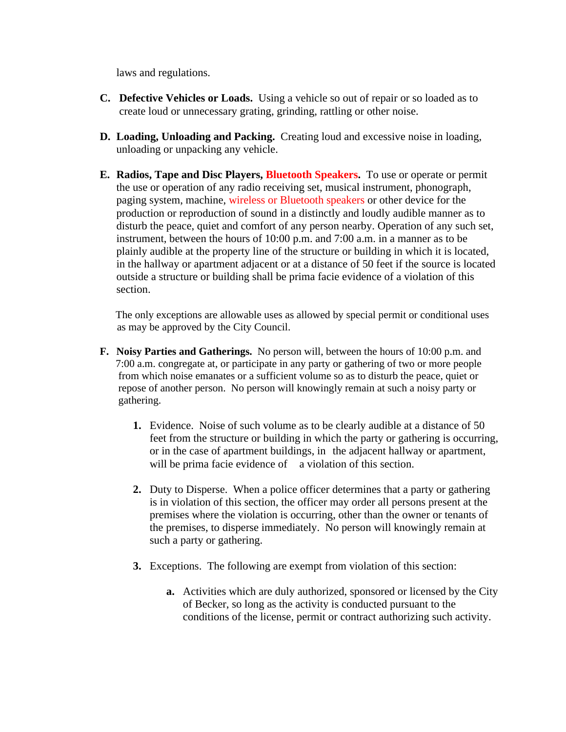laws and regulations.

- **C. Defective Vehicles or Loads.** Using a vehicle so out of repair or so loaded as to create loud or unnecessary grating, grinding, rattling or other noise.
- **D. Loading, Unloading and Packing.** Creating loud and excessive noise in loading, unloading or unpacking any vehicle.
- **E. Radios, Tape and Disc Players, Bluetooth Speakers.** To use or operate or permit the use or operation of any radio receiving set, musical instrument, phonograph, paging system, machine, wireless or Bluetooth speakers or other device for the production or reproduction of sound in a distinctly and loudly audible manner as to disturb the peace, quiet and comfort of any person nearby. Operation of any such set, instrument, between the hours of 10:00 p.m. and 7:00 a.m. in a manner as to be plainly audible at the property line of the structure or building in which it is located, in the hallway or apartment adjacent or at a distance of 50 feet if the source is located outside a structure or building shall be prima facie evidence of a violation of this section.

 The only exceptions are allowable uses as allowed by special permit or conditional uses as may be approved by the City Council.

- **F. Noisy Parties and Gatherings.** No person will, between the hours of 10:00 p.m. and 7:00 a.m. congregate at, or participate in any party or gathering of two or more people from which noise emanates or a sufficient volume so as to disturb the peace, quiet or repose of another person. No person will knowingly remain at such a noisy party or gathering.
	- **1.** Evidence. Noise of such volume as to be clearly audible at a distance of 50 feet from the structure or building in which the party or gathering is occurring, or in the case of apartment buildings, in the adjacent hallway or apartment, will be prima facie evidence of a violation of this section.
	- **2.** Duty to Disperse. When a police officer determines that a party or gathering is in violation of this section, the officer may order all persons present at the premises where the violation is occurring, other than the owner or tenants of the premises, to disperse immediately. No person will knowingly remain at such a party or gathering.
	- **3.** Exceptions. The following are exempt from violation of this section:
		- **a.** Activities which are duly authorized, sponsored or licensed by the City of Becker, so long as the activity is conducted pursuant to the conditions of the license, permit or contract authorizing such activity.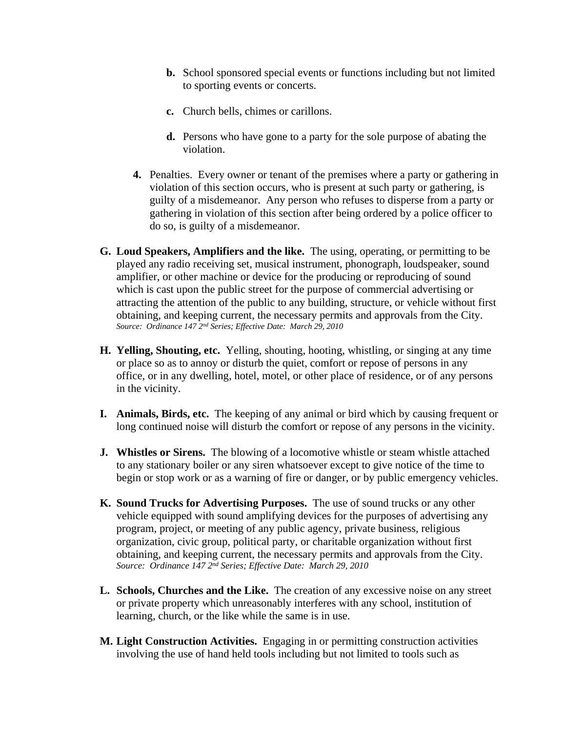- **b.** School sponsored special events or functions including but not limited to sporting events or concerts.
- **c.** Church bells, chimes or carillons.
- **d.** Persons who have gone to a party for the sole purpose of abating the violation.
- **4.** Penalties. Every owner or tenant of the premises where a party or gathering in violation of this section occurs, who is present at such party or gathering, is guilty of a misdemeanor. Any person who refuses to disperse from a party or gathering in violation of this section after being ordered by a police officer to do so, is guilty of a misdemeanor.
- **G. Loud Speakers, Amplifiers and the like.** The using, operating, or permitting to be played any radio receiving set, musical instrument, phonograph, loudspeaker, sound amplifier, or other machine or device for the producing or reproducing of sound which is cast upon the public street for the purpose of commercial advertising or attracting the attention of the public to any building, structure, or vehicle without first obtaining, and keeping current, the necessary permits and approvals from the City. *Source: Ordinance 147 2nd Series; Effective Date: March 29, 2010*
- **H. Yelling, Shouting, etc.** Yelling, shouting, hooting, whistling, or singing at any time or place so as to annoy or disturb the quiet, comfort or repose of persons in any office, or in any dwelling, hotel, motel, or other place of residence, or of any persons in the vicinity.
- **I. Animals, Birds, etc.** The keeping of any animal or bird which by causing frequent or long continued noise will disturb the comfort or repose of any persons in the vicinity.
- **J. Whistles or Sirens.** The blowing of a locomotive whistle or steam whistle attached to any stationary boiler or any siren whatsoever except to give notice of the time to begin or stop work or as a warning of fire or danger, or by public emergency vehicles.
- **K. Sound Trucks for Advertising Purposes.** The use of sound trucks or any other vehicle equipped with sound amplifying devices for the purposes of advertising any program, project, or meeting of any public agency, private business, religious organization, civic group, political party, or charitable organization without first obtaining, and keeping current, the necessary permits and approvals from the City. *Source: Ordinance 147 2nd Series; Effective Date: March 29, 2010*
- **L. Schools, Churches and the Like.** The creation of any excessive noise on any street or private property which unreasonably interferes with any school, institution of learning, church, or the like while the same is in use.
- **M. Light Construction Activities.** Engaging in or permitting construction activities involving the use of hand held tools including but not limited to tools such as